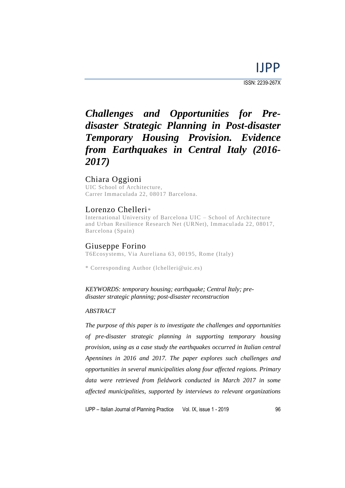ISSN: 2239-267X

# *Challenges and Opportunities for Predisaster Strategic Planning in Post-disaster Temporary Housing Provision. Evidence from Earthquakes in Central Italy (2016- 2017)*

# Chiara Oggioni

UIC School of Architecture, Carrer Immaculada 22, 08017 Barcelona.

# Lorenzo Chelleri*\**

International University of Barcelona UIC – School of Architecture and Urban Resilience Research Net (URNet), Immaculada 22, 08017, Barcelona (Spain)

### Giuseppe Forino

T6Ecosystems, Via Aureliana 63, 00195, Rome (Italy)

\* Corresponding Author (lchelleri@uic.es)

*KEYWORDS: temporary housing; earthquake; Central Italy; predisaster strategic planning; post-disaster reconstruction*

#### *ABSTRACT*

*The purpose of this paper is to investigate the challenges and opportunities of pre-disaster strategic planning in supporting temporary housing provision, using as a case study the earthquakes occurred in Italian central Apennines in 2016 and 2017. The paper explores such challenges and opportunities in several municipalities along four affected regions. Primary data were retrieved from fieldwork conducted in March 2017 in some affected municipalities, supported by interviews to relevant organizations*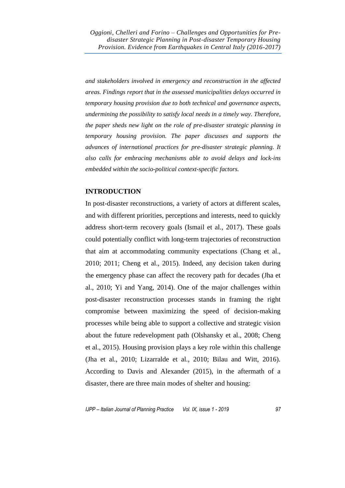*and stakeholders involved in emergency and reconstruction in the affected areas. Findings report that in the assessed municipalities delays occurred in temporary housing provision due to both technical and governance aspects, undermining the possibility to satisfy local needs in a timely way. Therefore, the paper sheds new light on the role of pre-disaster strategic planning in temporary housing provision. The paper discusses and supports the advances of international practices for pre-disaster strategic planning. It also calls for embracing mechanisms able to avoid delays and lock-ins embedded within the socio-political context-specific factors.*

### **INTRODUCTION**

In post-disaster reconstructions, a variety of actors at different scales, and with different priorities, perceptions and interests, need to quickly address short-term recovery goals (Ismail et al., 2017). These goals could potentially conflict with long-term trajectories of reconstruction that aim at accommodating community expectations (Chang et al., 2010; 2011; Cheng et al., 2015). Indeed, any decision taken during the emergency phase can affect the recovery path for decades (Jha et al., 2010; Yi and Yang, 2014). One of the major challenges within post-disaster reconstruction processes stands in framing the right compromise between maximizing the speed of decision-making processes while being able to support a collective and strategic vision about the future redevelopment path (Olshansky et al., 2008; Cheng et al., 2015). Housing provision plays a key role within this challenge (Jha et al., 2010; Lizarralde et al., 2010; Bilau and Witt, 2016). According to Davis and Alexander (2015), in the aftermath of a disaster, there are three main modes of shelter and housing: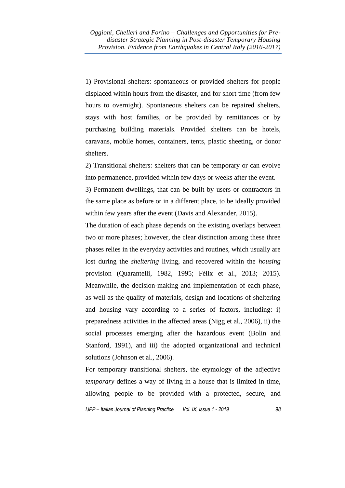1) Provisional shelters: spontaneous or provided shelters for people displaced within hours from the disaster, and for short time (from few hours to overnight). Spontaneous shelters can be repaired shelters, stays with host families, or be provided by remittances or by purchasing building materials. Provided shelters can be hotels, caravans, mobile homes, containers, tents, plastic sheeting, or donor shelters.

2) Transitional shelters: shelters that can be temporary or can evolve into permanence, provided within few days or weeks after the event.

3) Permanent dwellings, that can be built by users or contractors in the same place as before or in a different place, to be ideally provided within few years after the event (Davis and Alexander, 2015).

The duration of each phase depends on the existing overlaps between two or more phases; however, the clear distinction among these three phases relies in the everyday activities and routines, which usually are lost during the *sheltering* living, and recovered within the *housing* provision (Quarantelli, 1982, 1995; Félix et al., 2013; 2015). Meanwhile, the decision-making and implementation of each phase, as well as the quality of materials, design and locations of sheltering and housing vary according to a series of factors, including: i) preparedness activities in the affected areas (Nigg et al., 2006), ii) the social processes emerging after the hazardous event (Bolin and Stanford, 1991), and iii) the adopted organizational and technical solutions (Johnson et al., 2006).

For temporary transitional shelters, the etymology of the adjective *temporary* defines a way of living in a house that is limited in time, allowing people to be provided with a protected, secure, and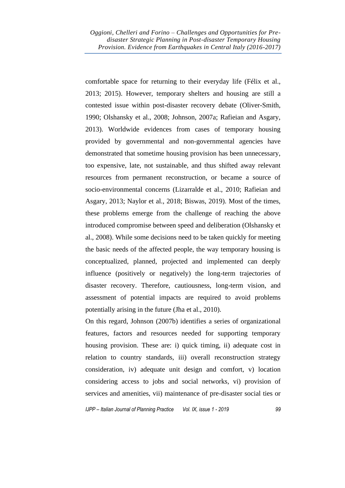comfortable space for returning to their everyday life (Félix et al., 2013; 2015). However, temporary shelters and housing are still a contested issue within post-disaster recovery debate (Oliver-Smith, 1990; Olshansky et al., 2008; Johnson, 2007a; Rafieian and Asgary, 2013). Worldwide evidences from cases of temporary housing provided by governmental and non-governmental agencies have demonstrated that sometime housing provision has been unnecessary, too expensive, late, not sustainable, and thus shifted away relevant resources from permanent reconstruction, or became a source of socio-environmental concerns (Lizarralde et al., 2010; Rafieian and Asgary, 2013; Naylor et al., 2018; Biswas, 2019). Most of the times, these problems emerge from the challenge of reaching the above introduced compromise between speed and deliberation (Olshansky et al., 2008). While some decisions need to be taken quickly for meeting the basic needs of the affected people, the way temporary housing is conceptualized, planned, projected and implemented can deeply influence (positively or negatively) the long-term trajectories of disaster recovery. Therefore, cautiousness, long-term vision, and assessment of potential impacts are required to avoid problems potentially arising in the future (Jha et al., 2010).

On this regard, Johnson (2007b) identifies a series of organizational features, factors and resources needed for supporting temporary housing provision. These are: i) quick timing, ii) adequate cost in relation to country standards, iii) overall reconstruction strategy consideration, iv) adequate unit design and comfort, v) location considering access to jobs and social networks, vi) provision of services and amenities, vii) maintenance of pre-disaster social ties or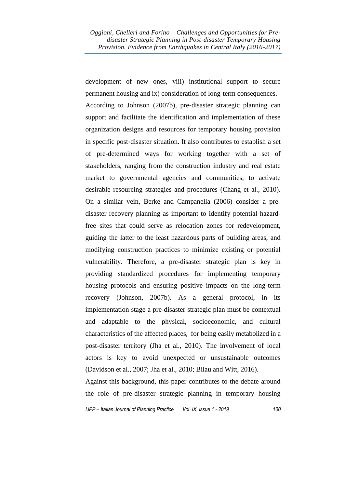development of new ones, viii) institutional support to secure permanent housing and ix) consideration of long-term consequences. According to Johnson (2007b), pre-disaster strategic planning can support and facilitate the identification and implementation of these organization designs and resources for temporary housing provision in specific post-disaster situation. It also contributes to establish a set of pre-determined ways for working together with a set of stakeholders, ranging from the construction industry and real estate market to governmental agencies and communities, to activate desirable resourcing strategies and procedures (Chang et al., 2010). On a similar vein, Berke and Campanella (2006) consider a predisaster recovery planning as important to identify potential hazardfree sites that could serve as relocation zones for redevelopment, guiding the latter to the least hazardous parts of building areas, and modifying construction practices to minimize existing or potential vulnerability. Therefore, a pre-disaster strategic plan is key in providing standardized procedures for implementing temporary housing protocols and ensuring positive impacts on the long-term recovery (Johnson, 2007b). As a general protocol, in its implementation stage a pre-disaster strategic plan must be contextual and adaptable to the physical, socioeconomic, and cultural characteristics of the affected places, for being easily metabolized in a post-disaster territory (Jha et al., 2010). The involvement of local actors is key to avoid unexpected or unsustainable outcomes (Davidson et al., 2007; Jha et al., 2010; Bilau and Witt, 2016).

Against this background, this paper contributes to the debate around the role of pre-disaster strategic planning in temporary housing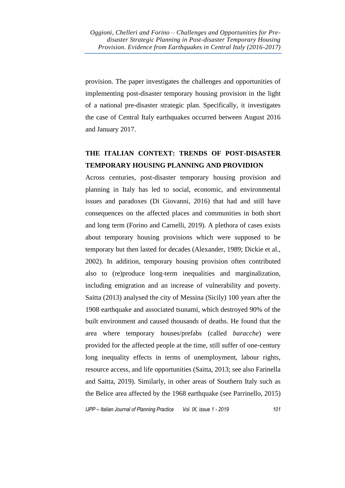provision. The paper investigates the challenges and opportunities of implementing post-disaster temporary housing provision in the light of a national pre-disaster strategic plan. Specifically, it investigates the case of Central Italy earthquakes occurred between August 2016 and January 2017.

# **THE ITALIAN CONTEXT: TRENDS OF POST-DISASTER TEMPORARY HOUSING PLANNING AND PROVIDION**

Across centuries, post-disaster temporary housing provision and planning in Italy has led to social, economic, and environmental issues and paradoxes (Di Giovanni, 2016) that had and still have consequences on the affected places and communities in both short and long term (Forino and Carnelli, 2019). A plethora of cases exists about temporary housing provisions which were supposed to be temporary but then lasted for decades (Alexander, 1989; Dickie et al., 2002). In addition, temporary housing provision often contributed also to (re)produce long-term inequalities and marginalization, including emigration and an increase of vulnerability and poverty. Saitta (2013) analysed the city of Messina (Sicily) 100 years after the 1908 earthquake and associated tsunami, which destroyed 90% of the built environment and caused thousands of deaths. He found that the area where temporary houses/prefabs (called *baracche*) were provided for the affected people at the time, still suffer of one-century long inequality effects in terms of unemployment, labour rights, resource access, and life opportunities (Saitta, 2013; see also Farinella and Saitta, 2019). Similarly, in other areas of Southern Italy such as the Belice area affected by the 1968 earthquake (see Parrinello, 2015)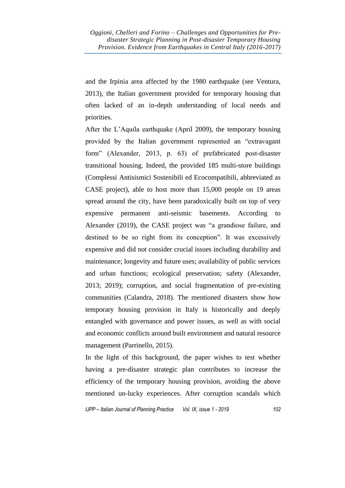and the Irpinia area affected by the 1980 earthquake (see Ventura, 2013), the Italian government provided for temporary housing that often lacked of an in-depth understanding of local needs and priorities.

After the L'Aquila earthquake (April 2009), the temporary housing provided by the Italian government represented an "extravagant form" (Alexander, 2013, p. 63) of prefabricated post-disaster transitional housing. Indeed, the provided 185 multi-store buildings (Complessi Antisismici Sostenibili ed Ecocompatibili, abbreviated as CASE project), able to host more than 15,000 people on 19 areas spread around the city, have been paradoxically built on top of very expensive permanent anti-seismic basements. According to Alexander (2019), the CASE project was "a grandiose failure, and destined to be so right from its conception". It was excessively expensive and did not consider crucial issues including durability and maintenance; longevity and future uses; availability of public services and urban functions; ecological preservation; safety (Alexander, 2013; 2019); corruption, and social fragmentation of pre-existing communities (Calandra, 2018). The mentioned disasters show how temporary housing provision in Italy is historically and deeply entangled with governance and power issues, as well as with social and economic conflicts around built environment and natural resource management (Parrinello, 2015).

In the light of this background, the paper wishes to test whether having a pre-disaster strategic plan contributes to increase the efficiency of the temporary housing provision, avoiding the above mentioned un-lucky experiences. After corruption scandals which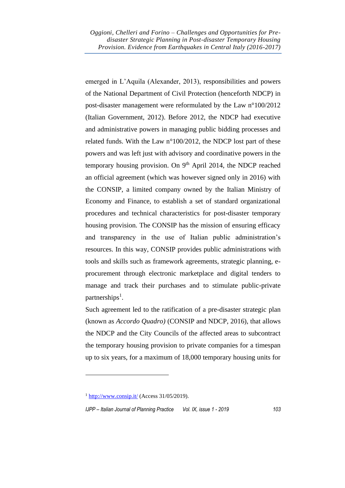emerged in L'Aquila (Alexander, 2013), responsibilities and powers of the National Department of Civil Protection (henceforth NDCP) in post-disaster management were reformulated by the Law n°100/2012 (Italian Government, 2012). Before 2012, the NDCP had executive and administrative powers in managing public bidding processes and related funds. With the Law n°100/2012, the NDCP lost part of these powers and was left just with advisory and coordinative powers in the temporary housing provision. On  $9<sup>th</sup>$  April 2014, the NDCP reached an official agreement (which was however signed only in 2016) with the CONSIP, a limited company owned by the Italian Ministry of Economy and Finance, to establish a set of standard organizational procedures and technical characteristics for post-disaster temporary housing provision. The CONSIP has the mission of ensuring efficacy and transparency in the use of Italian public administration's resources. In this way, CONSIP provides public administrations with tools and skills such as framework agreements, strategic planning, eprocurement through electronic marketplace and digital tenders to manage and track their purchases and to stimulate public-private partnerships<sup>1</sup>.

Such agreement led to the ratification of a pre-disaster strategic plan (known as *Accordo Quadro)* (CONSIP and NDCP, 2016), that allows the NDCP and the City Councils of the affected areas to subcontract the temporary housing provision to private companies for a timespan up to six years, for a maximum of 18,000 temporary housing units for

 $1 \frac{\text{http://www.consip.it/}}{\text{http://www.consip.it/}}$  $1 \frac{\text{http://www.consip.it/}}{\text{http://www.consip.it/}}$  $1 \frac{\text{http://www.consip.it/}}{\text{http://www.consip.it/}}$  (Access 31/05/2019).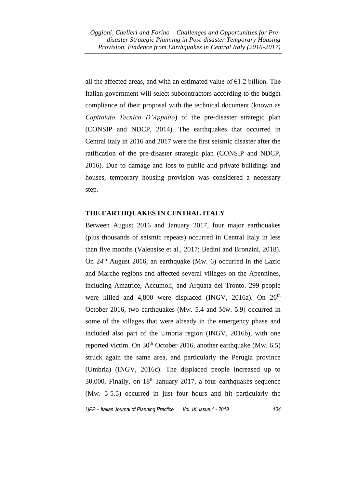all the affected areas, and with an estimated value of  $\epsilon$ 1.2 billion. The Italian government will select subcontractors according to the budget compliance of their proposal with the technical document (known as *Capitolato Tecnico D'Appalto*) of the pre-disaster strategic plan (CONSIP and NDCP, 2014). The earthquakes that occurred in Central Italy in 2016 and 2017 were the first seismic disaster after the ratification of the pre-disaster strategic plan (CONSIP and NDCP, 2016). Due to damage and loss to public and private buildings and houses, temporary housing provision was considered a necessary step.

### **THE EARTHQUAKES IN CENTRAL ITALY**

Between August 2016 and January 2017, four major earthquakes (plus thousands of seismic repeats) occurred in Central Italy in less than five months (Valensise et al., 2017; Bedini and Bronzini, 2018). On  $24<sup>th</sup>$  August 2016, an earthquake (Mw. 6) occurred in the Lazio and Marche regions and affected several villages on the Apennines, including Amatrice, Accumoli, and Arquata del Tronto. 299 people were killed and 4,800 were displaced (INGV, 2016a). On 26<sup>th</sup> October 2016, two earthquakes (Mw. 5.4 and Mw. 5.9) occurred in some of the villages that were already in the emergency phase and included also part of the Umbria region (INGV, 2016b), with one reported victim. On  $30<sup>th</sup>$  October 2016, another earthquake (Mw. 6.5) struck again the same area, and particularly the Perugia province (Umbria) (INGV, 2016c). The displaced people increased up to 30,000. Finally, on  $18<sup>th</sup>$  January 2017, a four earthquakes sequence (Mw. 5-5.5) occurred in just four hours and hit particularly the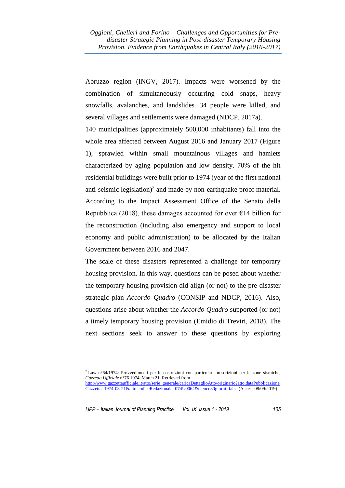Abruzzo region (INGV, 2017). Impacts were worsened by the combination of simultaneously occurring cold snaps, heavy snowfalls, avalanches, and landslides. 34 people were killed, and several villages and settlements were damaged (NDCP, 2017a).

140 municipalities (approximately 500,000 inhabitants) fall into the whole area affected between August 2016 and January 2017 (Figure 1), sprawled within small mountainous villages and hamlets characterized by aging population and low density. 70% of the hit residential buildings were built prior to 1974 (year of the first national anti-seismic legislation)<sup>2</sup> and made by non-earthquake proof material. According to the Impact Assessment Office of the Senato della Repubblica (2018), these damages accounted for over  $\epsilon$ 14 billion for the reconstruction (including also emergency and support to local economy and public administration) to be allocated by the Italian Government between 2016 and 2047.

The scale of these disasters represented a challenge for temporary housing provision. In this way, questions can be posed about whether the temporary housing provision did align (or not) to the pre-disaster strategic plan *Accordo Quadro* (CONSIP and NDCP, 2016). Also, questions arise about whether the *Accordo Quadro* supported (or not) a timely temporary housing provision (Emidio di Treviri, 2018). The next sections seek to answer to these questions by exploring

<sup>2</sup> Law n°64/1974: Provvedimenti per le costruzioni con particolari prescrizioni per le zone sismiche, *Gazzetta Ufficiale* n°76 1974, March 21. Retrieved from [http://www.gazzettaufficiale.it/atto/serie\\_generale/caricaDettaglioAtto/originario?atto.dataPubblicazione](http://www.gazzettaufficiale.it/atto/serie_generale/caricaDettaglioAtto/originario?atto.dataPubblicazioneGazzetta=1974-03-21&atto.codiceRedazionale=074U0064&elenco30giorni=false) [Gazzetta=1974-03-21&atto.codiceRedazionale=074U0064&elenco30giorni=false](http://www.gazzettaufficiale.it/atto/serie_generale/caricaDettaglioAtto/originario?atto.dataPubblicazioneGazzetta=1974-03-21&atto.codiceRedazionale=074U0064&elenco30giorni=false) (Access 08/09/2019)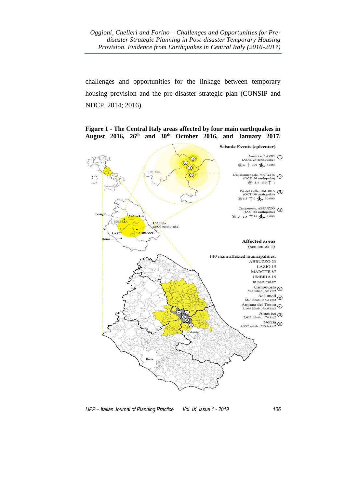challenges and opportunities for the linkage between temporary housing provision and the pre-disaster strategic plan (CONSIP and NDCP, 2014; 2016).

**Seismic Events (epicenter)** Amatrice, LAZIO (1)<br>(AUG. 24 earthquake)  $\odot$  $\circledcirc$ ◎6† 299 <del>Â 4</del>,800  $\odot$ Castelsantangelo, MARCHE (2)<br>
(OCT. 26 earthquake) (2)<br>  $\circledcirc$  5.4 - 5.9  $\dagger$  1  $\bigodot$ Piè del Colle, UMBRIA (3)<br>(OCT. 30 earthquake)  $\circ$  6.5 † 0  $\bigstar$  30,000 Campotosto, ABRUZZO 4 Peru **ARCHI** ◎ 5-5.5 † 34 ★ 4,000 **UMBRIA** L'Aquila<br>(2009 earthquake) ABRUZZO AZIO **Affected areas**  $(see amnex 1)$ 140 main affected municipalities: ABRUZZO 23 LAZIO 15 MARCHE 87 **UMBRIA 15** In particular: Campotosto  $\odot$ <br>542 inhab., 52 km2 Accumoli  $\odot$ <br>667 inhab., 87.2 km2 Arquata del Tronto<br>1,166 inhab., 92.6 km2 Amatrice  $\bigodot$  2,632 inhab., 174 km<sup>2</sup>  $\begin{matrix}\n\text{Norcia} \\
4,957 \text{ inhab.}, 275.6 \text{ km2}\n\end{matrix}$ 

**Figure 1 - The Central Italy areas affected by four main earthquakes in August 2016, 26th and 30th October 2016, and January 2017.**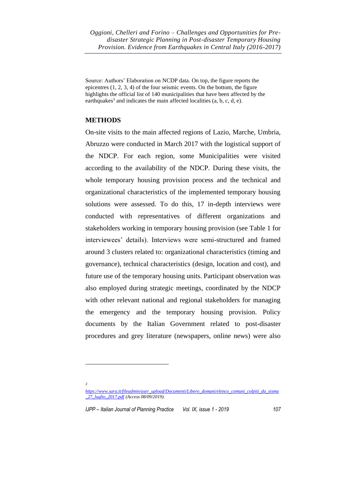Source: Authors' Elaboration on NCDP data. On top, the figure reports the epicentres (1, 2, 3, 4) of the four seismic events. On the bottom, the figure highlights the official list of 140 municipalities that have been affected by the earthquakes<sup>3</sup> and indicates the main affected localities  $(a, b, c, d, e)$ .

# **METHODS**

*3*

On-site visits to the main affected regions of Lazio, Marche, Umbria, Abruzzo were conducted in March 2017 with the logistical support of the NDCP. For each region, some Municipalities were visited according to the availability of the NDCP. During these visits, the whole temporary housing provision process and the technical and organizational characteristics of the implemented temporary housing solutions were assessed. To do this, 17 in-depth interviews were conducted with representatives of different organizations and stakeholders working in temporary housing provision (see Table 1 for interviewees' details). Interviews were semi-structured and framed around 3 clusters related to: organizational characteristics (timing and governance), technical characteristics (design, location and cost), and future use of the temporary housing units. Participant observation was also employed during strategic meetings, coordinated by the NDCP with other relevant national and regional stakeholders for managing the emergency and the temporary housing provision. Policy documents by the Italian Government related to post-disaster procedures and grey literature (newspapers, online news) were also

*[https://www.sara.it/fileadmin/user\\_upload/Documenti/Libero\\_domani/elenco\\_comuni\\_colpiti\\_da\\_sisma](https://www.sara.it/fileadmin/user_upload/Documenti/Libero_domani/elenco_comuni_colpiti_da_sisma_27_luglio_2017.pdf) [\\_27\\_luglio\\_2017.pdf](https://www.sara.it/fileadmin/user_upload/Documenti/Libero_domani/elenco_comuni_colpiti_da_sisma_27_luglio_2017.pdf) (Access 08/09/2019).*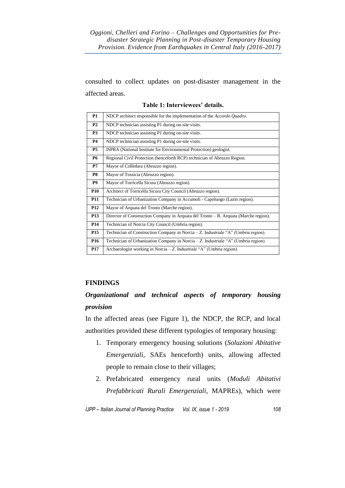consulted to collect updates on post-disaster management in the affected areas.

| <b>P1</b>      | NDCP architect responsible for the implementation of the Accordo Quadro.                |
|----------------|-----------------------------------------------------------------------------------------|
| P <sub>2</sub> | NDCP technician assisting P1 during on-site visits.                                     |
| <b>P3</b>      | NDCP technician assisting P1 during on-site visits.                                     |
| <b>P4</b>      | NDCP technician assisting P1 during on-site visits.                                     |
| <b>P5</b>      | ISPRA (National Institute for Environmental Protection) geologist.                      |
| <b>P6</b>      | Regional Civil Protection (henceforth RCP) technician of Abruzzo Region.                |
| P7             | Mayor of Colledara (Abruzzo region).                                                    |
| P8             | Mayor of Tossicia (Abruzzo region).                                                     |
| <b>P9</b>      | Mayor of Torricella Sicura (Abruzzo region).                                            |
| <b>P10</b>     | Architect of Torricella Sicura City Council (Abruzzo region).                           |
| <b>P11</b>     | Technician of Urbanization Company in Accumoli - Capoluogo (Lazio region).              |
| <b>P12</b>     | Mayor of Arquata del Tronto (Marche region).                                            |
| <b>P13</b>     | Director of Construction Company in Arquata del Tronto $- B$ . Arquata (Marche region). |
| <b>P14</b>     | Technician of Norcia City Council (Umbria region).                                      |
| <b>P15</b>     | Technician of Construction Company in Norcia $-Z$ . Industriale "A" (Umbria region).    |
| <b>P16</b>     | Technician of Urbanization Company in Norcia - Z. Industriale "A" (Umbria region).      |
| <b>P17</b>     | Archaeologist working in Norcia – Z. Industriale "A" (Umbria region).                   |

**Table 1: Interviewees' details.**

### **FINDINGS**

# *Organizational and technical aspects of temporary housing provision*

In the affected areas (see Figure 1), the NDCP, the RCP, and local authorities provided these different typologies of temporary housing:

- 1. Temporary emergency housing solutions (*Soluzioni Abitative Emergenziali*, SAEs henceforth) units, allowing affected people to remain close to their villages;
- 2. Prefabricated emergency rural units (*Moduli Abitativi Prefabbricati Rurali Emergenziali*, MAPREs), which were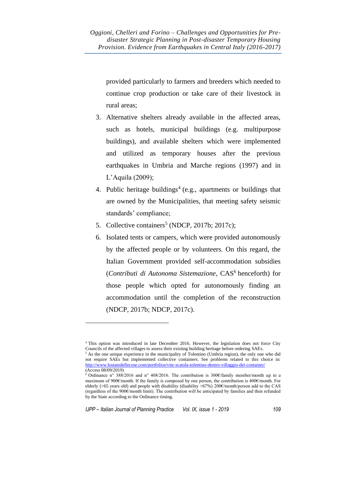provided particularly to farmers and breeders which needed to continue crop production or take care of their livestock in rural areas;

- 3. Alternative shelters already available in the affected areas, such as hotels, municipal buildings (e.g. multipurpose buildings), and available shelters which were implemented and utilized as temporary houses after the previous earthquakes in Umbria and Marche regions (1997) and in L'Aquila (2009);
- 4. Public heritage buildings<sup>4</sup> (e.g., apartments or buildings that are owned by the Municipalities, that meeting safety seismic standards' compliance;
- 5. Collective containers<sup>5</sup> (NDCP, 2017b; 2017c);
- 6. Isolated tents or campers, which were provided autonomously by the affected people or by volunteers. On this regard, the Italian Government provided self-accommodation subsidies (*Contributi di Autonoma Sistemazione*, CAS<sup>6</sup> henceforth) for those people which opted for autonomously finding an accommodation until the completion of the reconstruction (NDCP, 2017b; NDCP, 2017c).

<sup>4</sup> This option was introduced in late December 2016. However, the legislation does not force City Councils of the affected villages to assess their existing building heritage before ordering SAEs.

<sup>&</sup>lt;sup>5</sup> As the one unique experience in the municipality of Tolentino (Umbria region), the only one who did not require SAEs but implemented collective containers. See problems related to this choice in: <http://www.lostatodellecose.com/portfolios/vite-scatola-tolentino-dentro-villaggio-dei-container/> (Access 08/09/2019)

<sup>6</sup> Ordinance n° 388/2016 and n° 408/2016. The contribution is 300€/family member/month up to a maximum of 900€/month. If the family is composed by one person, the contribution is 400€/month. For elderly (>65 years old) and people with disability (disability >67%) 200€/month/person add to the CAS (regardless of the 900€/month limit). The contribution will be anticipated by families and then refunded by the State according to the Ordinance timing.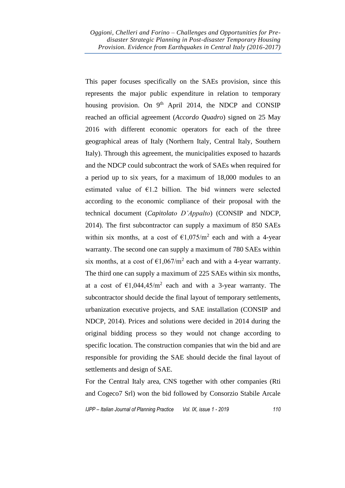This paper focuses specifically on the SAEs provision, since this represents the major public expenditure in relation to temporary housing provision. On  $9<sup>th</sup>$  April 2014, the NDCP and CONSIP reached an official agreement (*Accordo Quadro*) signed on 25 May 2016 with different economic operators for each of the three geographical areas of Italy (Northern Italy, Central Italy, Southern Italy). Through this agreement, the municipalities exposed to hazards and the NDCP could subcontract the work of SAEs when required for a period up to six years, for a maximum of 18,000 modules to an estimated value of  $E1.2$  billion. The bid winners were selected according to the economic compliance of their proposal with the technical document (*Capitolato D'Appalto*) (CONSIP and NDCP, 2014). The first subcontractor can supply a maximum of 850 SAEs within six months, at a cost of  $\epsilon 1,075/m^2$  each and with a 4-year warranty. The second one can supply a maximum of 780 SAEs within six months, at a cost of  $\epsilon 1,067/m^2$  each and with a 4-year warranty. The third one can supply a maximum of 225 SAEs within six months, at a cost of  $\epsilon$ 1,044,45/m<sup>2</sup> each and with a 3-year warranty. The subcontractor should decide the final layout of temporary settlements, urbanization executive projects, and SAE installation (CONSIP and NDCP, 2014). Prices and solutions were decided in 2014 during the original bidding process so they would not change according to specific location. The construction companies that win the bid and are responsible for providing the SAE should decide the final layout of settlements and design of SAE.

For the Central Italy area, CNS together with other companies (Rti and Cogeco7 Srl) won the bid followed by Consorzio Stabile Arcale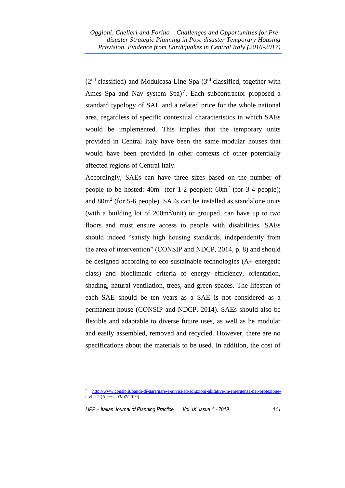$(2<sup>nd</sup> classified)$  and Modulcasa Line Spa  $(3<sup>rd</sup> classified, together with)$ Ames Spa and Nav system  $Spa$ <sup>7</sup>. Each subcontractor proposed a standard typology of SAE and a related price for the whole national area, regardless of specific contextual characteristics in which SAEs would be implemented. This implies that the temporary units provided in Central Italy have been the same modular houses that would have been provided in other contexts of other potentially affected regions of Central Italy.

Accordingly, SAEs can have three sizes based on the number of people to be hosted:  $40m^2$  (for 1-2 people);  $60m^2$  (for 3-4 people); and  $80m<sup>2</sup>$  (for 5-6 people). SAEs can be installed as standalone units (with a building lot of 200m<sup>2</sup>/unit) or grouped, can have up to two floors and must ensure access to people with disabilities. SAEs should indeed "satisfy high housing standards, independently from the area of intervention" (CONSIP and NDCP, 2014, p. 8) and should be designed according to eco-sustainable technologies (A+ energetic class) and bioclimatic criteria of energy efficiency, orientation, shading, natural ventilation, trees, and green spaces. The lifespan of each SAE should be ten years as a SAE is not considered as a permanent house (CONSIP and NDCP, 2014). SAEs should also be flexible and adaptable to diverse future uses, as well as be modular and easily assembled, removed and recycled. However, there are no specifications about the materials to be used. In addition, the cost of

<sup>7</sup> [http://www.consip.it/bandi-di-gara/gare-e-avvisi/aq-soluzioni-abitative-in-emergenza-per-protezione](http://www.consip.it/bandi-di-gara/gare-e-avvisi/aq-soluzioni-abitative-in-emergenza-per-protezione-civile-2)[civile-2](http://www.consip.it/bandi-di-gara/gare-e-avvisi/aq-soluzioni-abitative-in-emergenza-per-protezione-civile-2) (Access 03/07/2019).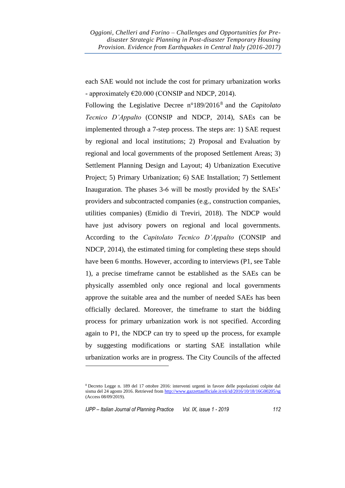each SAE would not include the cost for primary urbanization works - approximately  $\epsilon$ 20.000 (CONSIP and NDCP, 2014).

Following the Legislative Decree n°189/2016<sup>8</sup> and the *Capitolato Tecnico D'Appalto* (CONSIP and NDCP, 2014), SAEs can be implemented through a 7-step process. The steps are: 1) SAE request by regional and local institutions; 2) Proposal and Evaluation by regional and local governments of the proposed Settlement Areas; 3) Settlement Planning Design and Layout; 4) Urbanization Executive Project; 5) Primary Urbanization; 6) SAE Installation; 7) Settlement Inauguration. The phases 3-6 will be mostly provided by the SAEs' providers and subcontracted companies (e.g., construction companies, utilities companies) (Emidio di Treviri, 2018). The NDCP would have just advisory powers on regional and local governments. According to the *Capitolato Tecnico D'Appalto* (CONSIP and NDCP, 2014), the estimated timing for completing these steps should have been 6 months. However, according to interviews (P1, see Table 1), a precise timeframe cannot be established as the SAEs can be physically assembled only once regional and local governments approve the suitable area and the number of needed SAEs has been officially declared. Moreover, the timeframe to start the bidding process for primary urbanization work is not specified. According again to P1, the NDCP can try to speed up the process, for example by suggesting modifications or starting SAE installation while urbanization works are in progress. The City Councils of the affected

<sup>8</sup> Decreto Legge n. 189 del 17 ottobre 2016: interventi urgenti in favore delle popolazioni colpite dal sisma del 24 agosto 2016. Retrieved fro[m http://www.gazzettaufficiale.it/eli/id/2016/10/18/16G00205/sg](http://www.gazzettaufficiale.it/eli/id/2016/10/18/16G00205/sg) (Access 08/09/2019).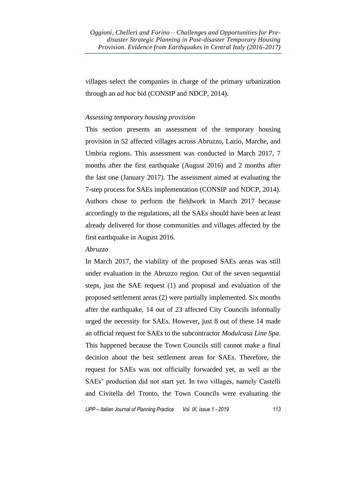villages select the companies in charge of the primary urbanization through an *ad hoc* bid (CONSIP and NDCP, 2014).

### *Assessing temporary housing provision*

This section presents an assessment of the temporary housing provision in 52 affected villages across Abruzzo, Lazio, Marche, and Umbria regions. This assessment was conducted in March 2017, 7 months after the first earthquake (August 2016) and 2 months after the last one (January 2017). The assessment aimed at evaluating the 7-step process for SAEs implementation (CONSIP and NDCP, 2014). Authors chose to perform the fieldwork in March 2017 because accordingly to the regulations, all the SAEs should have been at least already delivered for those communities and villages affected by the first earthquake in August 2016.

### *Abruzzo*

In March 2017, the viability of the proposed SAEs areas was still under evaluation in the Abruzzo region. Out of the seven sequential steps, just the SAE request (1) and proposal and evaluation of the proposed settlement areas (2) were partially implemented. Six months after the earthquake, 14 out of 23 affected City Councils informally urged the necessity for SAEs. However, just 8 out of these 14 made an official request for SAEs to the subcontractor *Modulcasa Line Spa*. This happened because the Town Councils still cannot make a final decision about the best settlement areas for SAEs. Therefore, the request for SAEs was not officially forwarded yet, as well as the SAEs' production did not start yet. In two villages, namely Castelli and Civitella del Tronto, the Town Councils were evaluating the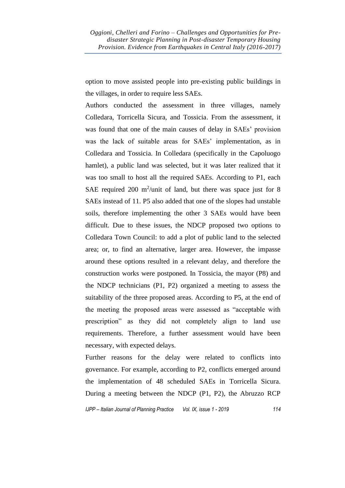option to move assisted people into pre-existing public buildings in the villages, in order to require less SAEs.

Authors conducted the assessment in three villages, namely Colledara, Torricella Sicura, and Tossicia. From the assessment, it was found that one of the main causes of delay in SAEs' provision was the lack of suitable areas for SAEs' implementation, as in Colledara and Tossicia. In Colledara (specifically in the Capoluogo hamlet), a public land was selected, but it was later realized that it was too small to host all the required SAEs. According to P1, each SAE required 200  $m^2$ /unit of land, but there was space just for 8 SAEs instead of 11. P5 also added that one of the slopes had unstable soils, therefore implementing the other 3 SAEs would have been difficult. Due to these issues, the NDCP proposed two options to Colledara Town Council: to add a plot of public land to the selected area; or, to find an alternative, larger area. However, the impasse around these options resulted in a relevant delay, and therefore the construction works were postponed. In Tossicia, the mayor (P8) and the NDCP technicians (P1, P2) organized a meeting to assess the suitability of the three proposed areas. According to P5, at the end of the meeting the proposed areas were assessed as "acceptable with prescription" as they did not completely align to land use requirements. Therefore, a further assessment would have been necessary, with expected delays.

Further reasons for the delay were related to conflicts into governance. For example, according to P2, conflicts emerged around the implementation of 48 scheduled SAEs in Torricella Sicura. During a meeting between the NDCP (P1, P2), the Abruzzo RCP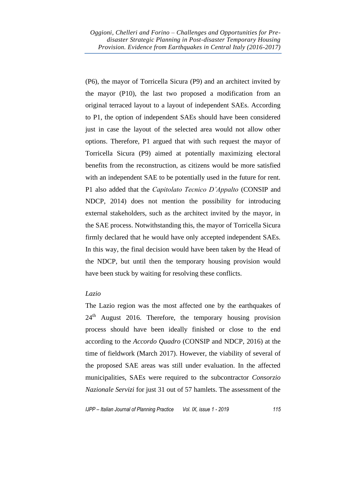(P6), the mayor of Torricella Sicura (P9) and an architect invited by the mayor (P10), the last two proposed a modification from an original terraced layout to a layout of independent SAEs. According to P1, the option of independent SAEs should have been considered just in case the layout of the selected area would not allow other options. Therefore, P1 argued that with such request the mayor of Torricella Sicura (P9) aimed at potentially maximizing electoral benefits from the reconstruction, as citizens would be more satisfied with an independent SAE to be potentially used in the future for rent. P1 also added that the *Capitolato Tecnico D'Appalto* (CONSIP and NDCP, 2014) does not mention the possibility for introducing external stakeholders, such as the architect invited by the mayor, in the SAE process. Notwithstanding this, the mayor of Torricella Sicura firmly declared that he would have only accepted independent SAEs. In this way, the final decision would have been taken by the Head of the NDCP, but until then the temporary housing provision would have been stuck by waiting for resolving these conflicts.

### *Lazio*

The Lazio region was the most affected one by the earthquakes of  $24<sup>th</sup>$  August 2016. Therefore, the temporary housing provision process should have been ideally finished or close to the end according to the *Accordo Quadro* (CONSIP and NDCP, 2016) at the time of fieldwork (March 2017). However, the viability of several of the proposed SAE areas was still under evaluation. In the affected municipalities, SAEs were required to the subcontractor *Consorzio Nazionale Servizi* for just 31 out of 57 hamlets. The assessment of the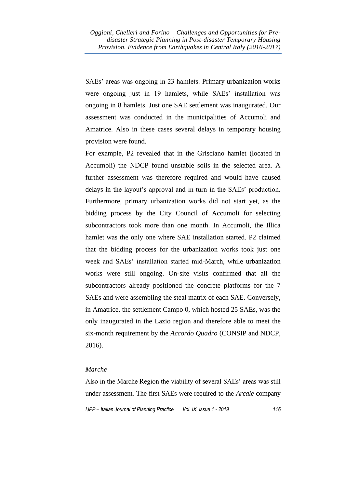SAEs' areas was ongoing in 23 hamlets. Primary urbanization works were ongoing just in 19 hamlets, while SAEs' installation was ongoing in 8 hamlets. Just one SAE settlement was inaugurated. Our assessment was conducted in the municipalities of Accumoli and Amatrice. Also in these cases several delays in temporary housing provision were found.

For example, P2 revealed that in the Grisciano hamlet (located in Accumoli) the NDCP found unstable soils in the selected area. A further assessment was therefore required and would have caused delays in the layout's approval and in turn in the SAEs' production. Furthermore, primary urbanization works did not start yet, as the bidding process by the City Council of Accumoli for selecting subcontractors took more than one month. In Accumoli, the Illica hamlet was the only one where SAE installation started. P2 claimed that the bidding process for the urbanization works took just one week and SAEs' installation started mid-March, while urbanization works were still ongoing. On-site visits confirmed that all the subcontractors already positioned the concrete platforms for the 7 SAEs and were assembling the steal matrix of each SAE. Conversely, in Amatrice, the settlement Campo 0, which hosted 25 SAEs, was the only inaugurated in the Lazio region and therefore able to meet the six-month requirement by the *Accordo Quadro* (CONSIP and NDCP, 2016).

### *Marche*

Also in the Marche Region the viability of several SAEs' areas was still under assessment. The first SAEs were required to the *Arcale* company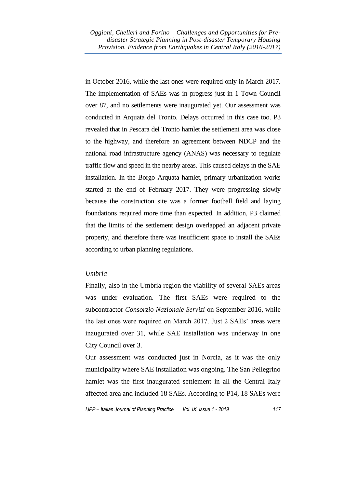in October 2016, while the last ones were required only in March 2017. The implementation of SAEs was in progress just in 1 Town Council over 87, and no settlements were inaugurated yet. Our assessment was conducted in Arquata del Tronto. Delays occurred in this case too. P3 revealed that in Pescara del Tronto hamlet the settlement area was close to the highway, and therefore an agreement between NDCP and the national road infrastructure agency (ANAS) was necessary to regulate traffic flow and speed in the nearby areas. This caused delays in the SAE installation. In the Borgo Arquata hamlet, primary urbanization works started at the end of February 2017. They were progressing slowly because the construction site was a former football field and laying foundations required more time than expected. In addition, P3 claimed that the limits of the settlement design overlapped an adjacent private property, and therefore there was insufficient space to install the SAEs according to urban planning regulations.

### *Umbria*

Finally, also in the Umbria region the viability of several SAEs areas was under evaluation. The first SAEs were required to the subcontractor *Consorzio Nazionale Servizi* on September 2016, while the last ones were required on March 2017. Just 2 SAEs' areas were inaugurated over 31, while SAE installation was underway in one City Council over 3.

Our assessment was conducted just in Norcia, as it was the only municipality where SAE installation was ongoing. The San Pellegrino hamlet was the first inaugurated settlement in all the Central Italy affected area and included 18 SAEs. According to P14, 18 SAEs were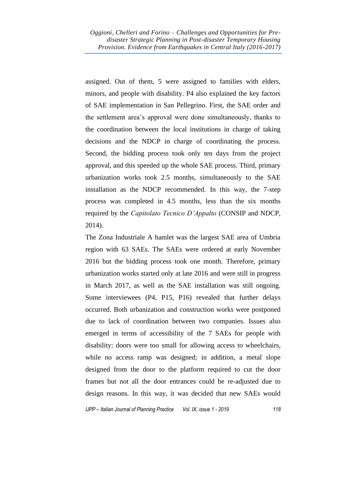assigned. Out of them, 5 were assigned to families with elders, minors, and people with disability. P4 also explained the key factors of SAE implementation in San Pellegrino. First, the SAE order and the settlement area's approval were done simultaneously, thanks to the coordination between the local institutions in charge of taking decisions and the NDCP in charge of coordinating the process. Second, the bidding process took only ten days from the project approval, and this speeded up the whole SAE process. Third, primary urbanization works took 2.5 months, simultaneously to the SAE installation as the NDCP recommended. In this way, the 7-step process was completed in 4.5 months, less than the six months required by the *Capitolato Tecnico D'Appalto* (CONSIP and NDCP, 2014).

The Zona Industriale A hamlet was the largest SAE area of Umbria region with 63 SAEs. The SAEs were ordered at early November 2016 but the bidding process took one month. Therefore, primary urbanization works started only at late 2016 and were still in progress in March 2017, as well as the SAE installation was still ongoing. Some interviewees (P4, P15, P16) revealed that further delays occurred. Both urbanization and construction works were postponed due to lack of coordination between two companies. Issues also emerged in terms of accessibility of the 7 SAEs for people with disability: doors were too small for allowing access to wheelchairs, while no access ramp was designed; in addition, a metal slope designed from the door to the platform required to cut the door frames but not all the door entrances could be re-adjusted due to design reasons. In this way, it was decided that new SAEs would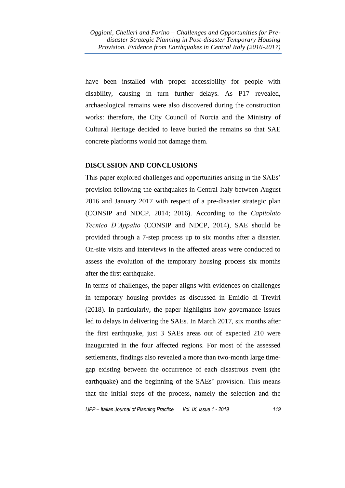have been installed with proper accessibility for people with disability, causing in turn further delays. As P17 revealed, archaeological remains were also discovered during the construction works: therefore, the City Council of Norcia and the Ministry of Cultural Heritage decided to leave buried the remains so that SAE concrete platforms would not damage them.

### **DISCUSSION AND CONCLUSIONS**

This paper explored challenges and opportunities arising in the SAEs' provision following the earthquakes in Central Italy between August 2016 and January 2017 with respect of a pre-disaster strategic plan (CONSIP and NDCP, 2014; 2016). According to the *Capitolato Tecnico D'Appalto* (CONSIP and NDCP, 2014), SAE should be provided through a 7-step process up to six months after a disaster. On-site visits and interviews in the affected areas were conducted to assess the evolution of the temporary housing process six months after the first earthquake.

In terms of challenges, the paper aligns with evidences on challenges in temporary housing provides as discussed in Emidio di Treviri (2018). In particularly, the paper highlights how governance issues led to delays in delivering the SAEs. In March 2017, six months after the first earthquake, just 3 SAEs areas out of expected 210 were inaugurated in the four affected regions. For most of the assessed settlements, findings also revealed a more than two-month large timegap existing between the occurrence of each disastrous event (the earthquake) and the beginning of the SAEs' provision. This means that the initial steps of the process, namely the selection and the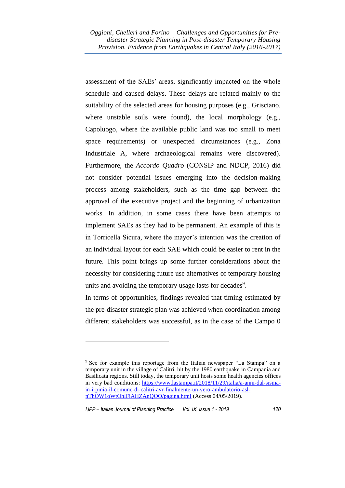assessment of the SAEs' areas, significantly impacted on the whole schedule and caused delays. These delays are related mainly to the suitability of the selected areas for housing purposes (e.g., Grisciano, where unstable soils were found), the local morphology (e.g., Capoluogo, where the available public land was too small to meet space requirements) or unexpected circumstances (e.g., Zona Industriale A, where archaeological remains were discovered). Furthermore, the *Accordo Quadro* (CONSIP and NDCP, 2016) did not consider potential issues emerging into the decision-making process among stakeholders, such as the time gap between the approval of the executive project and the beginning of urbanization works*.* In addition, in some cases there have been attempts to implement SAEs as they had to be permanent. An example of this is in Torricella Sicura, where the mayor's intention was the creation of an individual layout for each SAE which could be easier to rent in the future. This point brings up some further considerations about the necessity for considering future use alternatives of temporary housing units and avoiding the temporary usage lasts for decades<sup>9</sup>.

In terms of opportunities, findings revealed that timing estimated by the pre-disaster strategic plan was achieved when coordination among different stakeholders was successful, as in the case of the Campo 0

<sup>9</sup> See for example this reportage from the Italian newspaper "La Stampa" on a temporary unit in the village of Calitri, hit by the 1980 earthquake in Campania and Basilicata regions. Still today, the temporary unit hosts some health agencies offices in very bad conditions: [https://www.lastampa.it/2018/11/29/italia/a-anni-dal-sisma](https://www.lastampa.it/2018/11/29/italia/a-anni-dal-sisma-in-irpinia-il-comune-di-calitri-avr-finalmente-un-vero-ambulatorio-asl-nThOW1oWtOhlFiAHZAnQOO/pagina.html)[in-irpinia-il-comune-di-calitri-avr-finalmente-un-vero-ambulatorio-asl](https://www.lastampa.it/2018/11/29/italia/a-anni-dal-sisma-in-irpinia-il-comune-di-calitri-avr-finalmente-un-vero-ambulatorio-asl-nThOW1oWtOhlFiAHZAnQOO/pagina.html)[nThOW1oWtOhlFiAHZAnQOO/pagina.html](https://www.lastampa.it/2018/11/29/italia/a-anni-dal-sisma-in-irpinia-il-comune-di-calitri-avr-finalmente-un-vero-ambulatorio-asl-nThOW1oWtOhlFiAHZAnQOO/pagina.html) (Access 04/05/2019).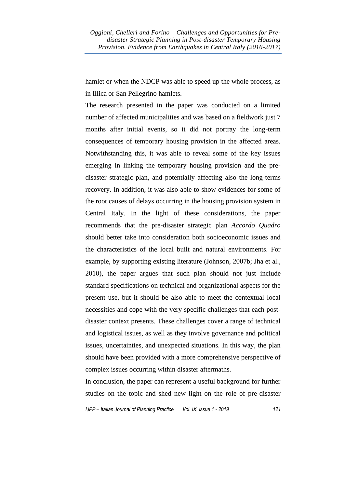hamlet or when the NDCP was able to speed up the whole process, as in Illica or San Pellegrino hamlets.

The research presented in the paper was conducted on a limited number of affected municipalities and was based on a fieldwork just 7 months after initial events, so it did not portray the long-term consequences of temporary housing provision in the affected areas. Notwithstanding this, it was able to reveal some of the key issues emerging in linking the temporary housing provision and the predisaster strategic plan, and potentially affecting also the long-terms recovery. In addition, it was also able to show evidences for some of the root causes of delays occurring in the housing provision system in Central Italy. In the light of these considerations, the paper recommends that the pre-disaster strategic plan *Accordo Quadro* should better take into consideration both socioeconomic issues and the characteristics of the local built and natural environments. For example, by supporting existing literature (Johnson, 2007b; Jha et al., 2010), the paper argues that such plan should not just include standard specifications on technical and organizational aspects for the present use, but it should be also able to meet the contextual local necessities and cope with the very specific challenges that each postdisaster context presents. These challenges cover a range of technical and logistical issues, as well as they involve governance and political issues, uncertainties, and unexpected situations. In this way, the plan should have been provided with a more comprehensive perspective of complex issues occurring within disaster aftermaths.

In conclusion, the paper can represent a useful background for further studies on the topic and shed new light on the role of pre-disaster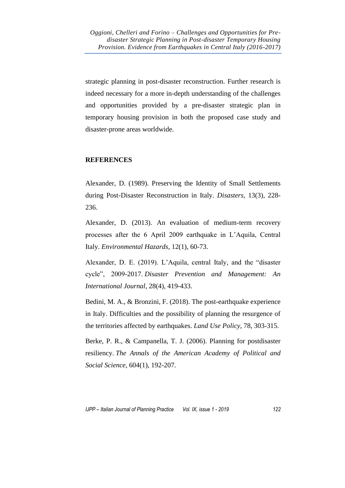strategic planning in post-disaster reconstruction. Further research is indeed necessary for a more in-depth understanding of the challenges and opportunities provided by a pre-disaster strategic plan in temporary housing provision in both the proposed case study and disaster-prone areas worldwide.

### **REFERENCES**

Alexander, D. (1989). Preserving the Identity of Small Settlements during Post-Disaster Reconstruction in Italy. *Disasters*, 13(3), 228- 236.

Alexander, D. (2013). An evaluation of medium-term recovery processes after the 6 April 2009 earthquake in L'Aquila, Central Italy. *Environmental Hazards*, 12(1), 60-73.

Alexander, D. E. (2019). L'Aquila, central Italy, and the "disaster cycle", 2009-2017. *Disaster Prevention and Management: An International Journal*, 28(4), 419-433.

Bedini, M. A., & Bronzini, F. (2018). The post-earthquake experience in Italy. Difficulties and the possibility of planning the resurgence of the territories affected by earthquakes. *Land Use Policy*, 78, 303-315.

Berke, P. R., & Campanella, T. J. (2006). Planning for postdisaster resiliency. *The Annals of the American Academy of Political and Social Science*, 604(1), 192-207.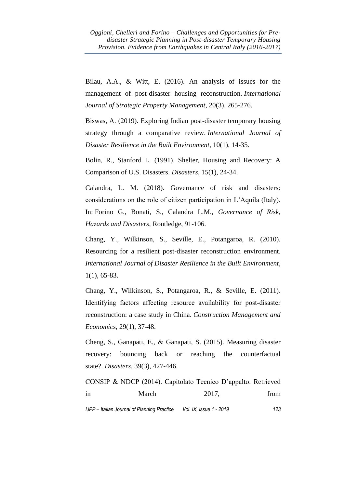Bilau, A.A., & Witt, E. (2016). An analysis of issues for the management of post-disaster housing reconstruction. *International Journal of Strategic Property Management*, 20(3), 265-276.

Biswas, A. (2019). Exploring Indian post-disaster temporary housing strategy through a comparative review. *International Journal of Disaster Resilience in the Built Environment*, 10(1), 14-35.

Bolin, R., Stanford L. (1991). Shelter, Housing and Recovery: A Comparison of U.S. Disasters. *Disasters,* 15(1), 24-34.

Calandra, L. M. (2018). Governance of risk and disasters: considerations on the role of citizen participation in L'Aquila (Italy). In: Forino G., Bonati, S., Calandra L.M., *Governance of Risk, Hazards and Disasters*, Routledge, 91-106.

Chang, Y., Wilkinson, S., Seville, E., Potangaroa, R. (2010). Resourcing for a resilient post-disaster reconstruction environment. *International Journal of Disaster Resilience in the Built Environment*, 1(1), 65-83.

Chang, Y., Wilkinson, S., Potangaroa, R., & Seville, E. (2011). Identifying factors affecting resource availability for post-disaster reconstruction: a case study in China. *Construction Management and Economics*, 29(1), 37-48.

Cheng, S., Ganapati, E., & Ganapati, S. (2015). Measuring disaster recovery: bouncing back or reaching the counterfactual state?. *Disasters*, 39(3), 427-446.

*IJPP – Italian Journal of Planning Practice Vol. IX, issue 1 - 2019 123* CONSIP & NDCP (2014). Capitolato Tecnico D'appalto. Retrieved in March 2017, from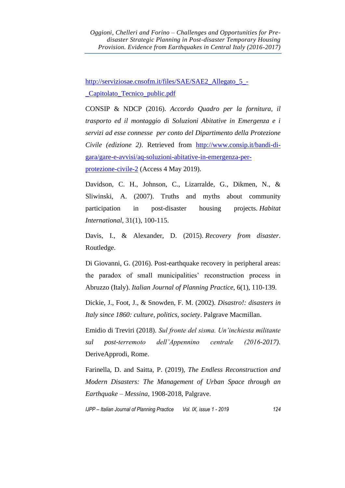[http://serviziosae.cnsofm.it/files/SAE/SAE2\\_Allegato\\_5\\_-](http://serviziosae.cnsofm.it/files/SAE/SAE2_Allegato_5_-_Capitolato_Tecnico_public.pdf) [\\_Capitolato\\_Tecnico\\_public.pdf](http://serviziosae.cnsofm.it/files/SAE/SAE2_Allegato_5_-_Capitolato_Tecnico_public.pdf)

CONSIP & NDCP (2016). *Accordo Quadro per la fornitura, il trasporto ed il montaggio di Soluzioni Abitative in Emergenza e i servizi ad esse connesse per conto del Dipartimento della Protezione Civile (edizione 2)*. Retrieved from [http://www.consip.it/bandi-di](http://www.consip.it/bandi-di-gara/gare-e-avvisi/aq-soluzioni-abitative-in-emergenza-per-protezione-civile-2)[gara/gare-e-avvisi/aq-soluzioni-abitative-in-emergenza-per](http://www.consip.it/bandi-di-gara/gare-e-avvisi/aq-soluzioni-abitative-in-emergenza-per-protezione-civile-2)[protezione-civile-2](http://www.consip.it/bandi-di-gara/gare-e-avvisi/aq-soluzioni-abitative-in-emergenza-per-protezione-civile-2) (Access 4 May 2019).

Davidson, C. H., Johnson, C., Lizarralde, G., Dikmen, N., & Sliwinski, A. (2007). Truths and myths about community participation in post-disaster housing projects. *Habitat International*, 31(1), 100-115.

Davis, I., & Alexander, D. (2015). *Recovery from disaster*. Routledge.

Di Giovanni, G. (2016). Post-earthquake recovery in peripheral areas: the paradox of small municipalities' reconstruction process in Abruzzo (Italy). *Italian Journal of Planning Practice*, 6(1), 110-139.

Dickie, J., Foot, J., & Snowden, F. M. (2002). *Disastro!: disasters in Italy since 1860: culture, politics, society*. Palgrave Macmillan.

Emidio di Treviri (2018). *Sul fronte del sisma. Un'inchiesta militante sul post-terremoto dell'Appennino centrale (2016-2017).* DeriveApprodi, Rome.

Farinella, D. and Saitta, P. (2019), *The Endless Reconstruction and Modern Disasters: The Management of Urban Space through an Earthquake – Messina*, 1908-2018, Palgrave.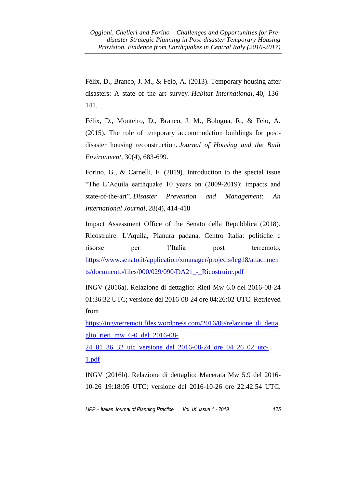Félix, D., Branco, J. M., & Feio, A. (2013). Temporary housing after disasters: A state of the art survey. *Habitat International*, 40, 136- 141.

Félix, D., Monteiro, D., Branco, J. M., Bologna, R., & Feio, A. (2015). The role of temporary accommodation buildings for postdisaster housing reconstruction. *Journal of Housing and the Built Environment*, 30(4), 683-699.

Forino, G., & Carnelli, F. (2019). Introduction to the special issue "The L'Aquila earthquake 10 years on (2009-2019): impacts and state-of-the-art". *Disaster Prevention and Management: An International Journal*, 28(4), 414-418

Impact Assessment Office of the Senato della Repubblica (2018). Ricostruire. L'Aquila, Pianura padana, Centro Italia: politiche e risorse per l'Italia post terremoto, [https://www.senato.it/application/xmanager/projects/leg18/attachmen](https://www.senato.it/application/xmanager/projects/leg18/attachments/documento/files/000/029/090/DA21_-_Ricostruire.pdf) ts/documento/files/000/029/090/DA21 - Ricostruire.pdf

INGV (2016a). Relazione di dettaglio: Rieti Mw 6.0 del 2016-08-24 01:36:32 UTC; versione del 2016-08-24 ore 04:26:02 UTC. Retrieved from

[https://ingvterremoti.files.wordpress.com/2016/09/relazione\\_di\\_detta](https://ingvterremoti.files.wordpress.com/2016/09/relazione_di_dettaglio_rieti_mw_6-0_del_2016-08-24_01_36_32_utc_versione_del_2016-08-24_ore_04_26_02_utc-1.pdf) [glio\\_rieti\\_mw\\_6-0\\_del\\_2016-08-](https://ingvterremoti.files.wordpress.com/2016/09/relazione_di_dettaglio_rieti_mw_6-0_del_2016-08-24_01_36_32_utc_versione_del_2016-08-24_ore_04_26_02_utc-1.pdf)

[24\\_01\\_36\\_32\\_utc\\_versione\\_del\\_2016-08-24\\_ore\\_04\\_26\\_02\\_utc-](https://ingvterremoti.files.wordpress.com/2016/09/relazione_di_dettaglio_rieti_mw_6-0_del_2016-08-24_01_36_32_utc_versione_del_2016-08-24_ore_04_26_02_utc-1.pdf)[1.pdf](https://ingvterremoti.files.wordpress.com/2016/09/relazione_di_dettaglio_rieti_mw_6-0_del_2016-08-24_01_36_32_utc_versione_del_2016-08-24_ore_04_26_02_utc-1.pdf)

INGV (2016b). Relazione di dettaglio: Macerata Mw 5.9 del 2016- 10-26 19:18:05 UTC; versione del 2016-10-26 ore 22:42:54 UTC.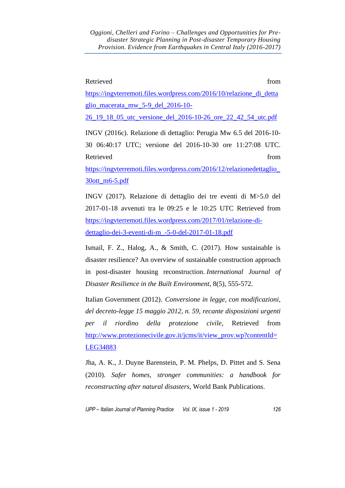### Retrieved from the state of the state of the state of the state of the state of the state of the state of the state of the state of the state of the state of the state of the state of the state of the state of the state of

[https://ingvterremoti.files.wordpress.com/2016/10/relazione\\_di\\_detta](https://ingvterremoti.files.wordpress.com/2016/10/relazione_di_dettaglio_macerata_mw_5-9_del_2016-10-26_19_18_05_utc_versione_del_2016-10-26_ore_22_42_54_utc.pdf) [glio\\_macerata\\_mw\\_5-9\\_del\\_2016-10-](https://ingvterremoti.files.wordpress.com/2016/10/relazione_di_dettaglio_macerata_mw_5-9_del_2016-10-26_19_18_05_utc_versione_del_2016-10-26_ore_22_42_54_utc.pdf)

[26\\_19\\_18\\_05\\_utc\\_versione\\_del\\_2016-10-26\\_ore\\_22\\_42\\_54\\_utc.pdf](https://ingvterremoti.files.wordpress.com/2016/10/relazione_di_dettaglio_macerata_mw_5-9_del_2016-10-26_19_18_05_utc_versione_del_2016-10-26_ore_22_42_54_utc.pdf)

INGV (2016c). Relazione di dettaglio: Perugia Mw 6.5 del 2016-10- 30 06:40:17 UTC; versione del 2016-10-30 ore 11:27:08 UTC. Retrieved from  $\blacksquare$ 

[https://ingvterremoti.files.wordpress.com/2016/12/relazionedettaglio\\_](https://ingvterremoti.files.wordpress.com/2016/12/relazionedettaglio_30ott_m6-5.pdf) [30ott\\_m6-5.pdf](https://ingvterremoti.files.wordpress.com/2016/12/relazionedettaglio_30ott_m6-5.pdf)

INGV (2017). Relazione di dettaglio dei tre eventi di M>5.0 del 2017-01-18 avvenuti tra le 09:25 e le 10:25 UTC Retrieved from [https://ingvterremoti.files.wordpress.com/2017/01/relazione-di](https://ingvterremoti.files.wordpress.com/2017/01/relazione-di-dettaglio-dei-3-eventi-di-m_-5-0-del-2017-01-18.pdf)[dettaglio-dei-3-eventi-di-m\\_-5-0-del-2017-01-18.pdf](https://ingvterremoti.files.wordpress.com/2017/01/relazione-di-dettaglio-dei-3-eventi-di-m_-5-0-del-2017-01-18.pdf)

Ismail, F. Z., Halog, A., & Smith, C. (2017). How sustainable is disaster resilience? An overview of sustainable construction approach in post-disaster housing reconstruction. *International Journal of Disaster Resilience in the Built Environment*, 8(5), 555-572.

Italian Government (2012). *Conversione in legge, con modificazioni, del decreto-legge 15 maggio 2012, n. 59, recante disposizioni urgenti per il riordino della protezione civile*, Retrieved from [http://www.protezionecivile.gov.it/jcms/it/view\\_prov.wp?contentId=](http://www.protezionecivile.gov.it/jcms/it/view_prov.wp?contentId=LEG34883) [LEG34883](http://www.protezionecivile.gov.it/jcms/it/view_prov.wp?contentId=LEG34883)

Jha, A. K., J. Duyne Barenstein, P. M. Phelps, D. Pittet and S. Sena (2010). *Safer homes, stronger communities: a handbook for reconstructing after natural disasters,* World Bank Publications.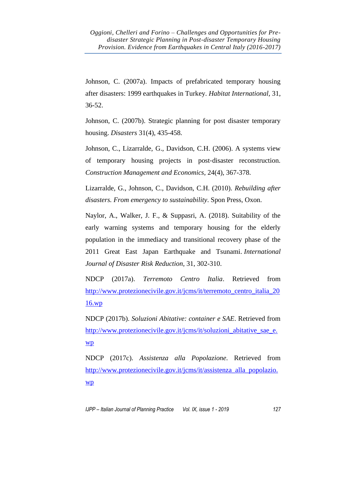Johnson, C. (2007a). Impacts of prefabricated temporary housing after disasters: 1999 earthquakes in Turkey. *Habitat International,* 31, 36-52.

Johnson, C. (2007b). Strategic planning for post disaster temporary housing. *Disasters* 31(4), 435-458.

Johnson, C., Lizarralde, G., Davidson, C.H. (2006). A systems view of temporary housing projects in post‐disaster reconstruction. *Construction Management and Economics*, 24(4), 367-378.

Lizarralde, G., Johnson, C., Davidson, C.H. (2010). *Rebuilding after disasters. From emergency to sustainability*. Spon Press, Oxon.

Naylor, A., Walker, J. F., & Suppasri, A. (2018). Suitability of the early warning systems and temporary housing for the elderly population in the immediacy and transitional recovery phase of the 2011 Great East Japan Earthquake and Tsunami. *International Journal of Disaster Risk Reduction*, 31, 302-310.

NDCP (2017a). *Terremoto Centro Italia*. Retrieved from [http://www.protezionecivile.gov.it/jcms/it/terremoto\\_centro\\_italia\\_20](http://www.protezionecivile.gov.it/jcms/it/terremoto_centro_italia_2016.wp) [16.wp](http://www.protezionecivile.gov.it/jcms/it/terremoto_centro_italia_2016.wp)

NDCP (2017b). *Soluzioni Abitative: container e SAE*. Retrieved from [http://www.protezionecivile.gov.it/jcms/it/soluzioni\\_abitative\\_sae\\_e.](http://www.protezionecivile.gov.it/jcms/it/soluzioni_abitative_sae_e.wp) [wp](http://www.protezionecivile.gov.it/jcms/it/soluzioni_abitative_sae_e.wp)

NDCP (2017c). *Assistenza alla Popolazione*. Retrieved from [http://www.protezionecivile.gov.it/jcms/it/assistenza\\_alla\\_popolazio.](http://www.protezionecivile.gov.it/jcms/it/assistenza_alla_popolazio.wp) [wp](http://www.protezionecivile.gov.it/jcms/it/assistenza_alla_popolazio.wp)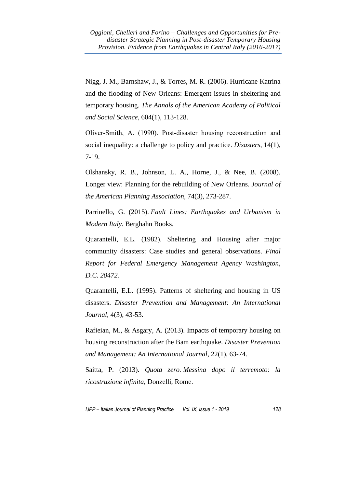Nigg, J. M., Barnshaw, J., & Torres, M. R. (2006). Hurricane Katrina and the flooding of New Orleans: Emergent issues in sheltering and temporary housing. *The Annals of the American Academy of Political and Social Science*, 604(1), 113-128.

Oliver‐Smith, A. (1990). Post‐disaster housing reconstruction and social inequality: a challenge to policy and practice. *Disasters*, 14(1), 7-19.

Olshansky, R. B., Johnson, L. A., Horne, J., & Nee, B. (2008). Longer view: Planning for the rebuilding of New Orleans. *Journal of the American Planning Association*, 74(3), 273-287.

Parrinello, G. (2015). *Fault Lines: Earthquakes and Urbanism in Modern Italy*. Berghahn Books.

Quarantelli, E.L. (1982). Sheltering and Housing after major community disasters: Case studies and general observations. *Final Report for Federal Emergency Management Agency Washington, D.C. 20472.*

Quarantelli, E.L. (1995). Patterns of sheltering and housing in US disasters. *Disaster Prevention and Management: An International Journal*, 4(3), 43-53.

Rafieian, M., & Asgary, A. (2013). Impacts of temporary housing on housing reconstruction after the Bam earthquake. *Disaster Prevention and Management: An International Journal*, 22(1), 63-74.

Saitta, P. (2013). *Quota zero. Messina dopo il terremoto: la ricostruzione infinita,* Donzelli, Rome.